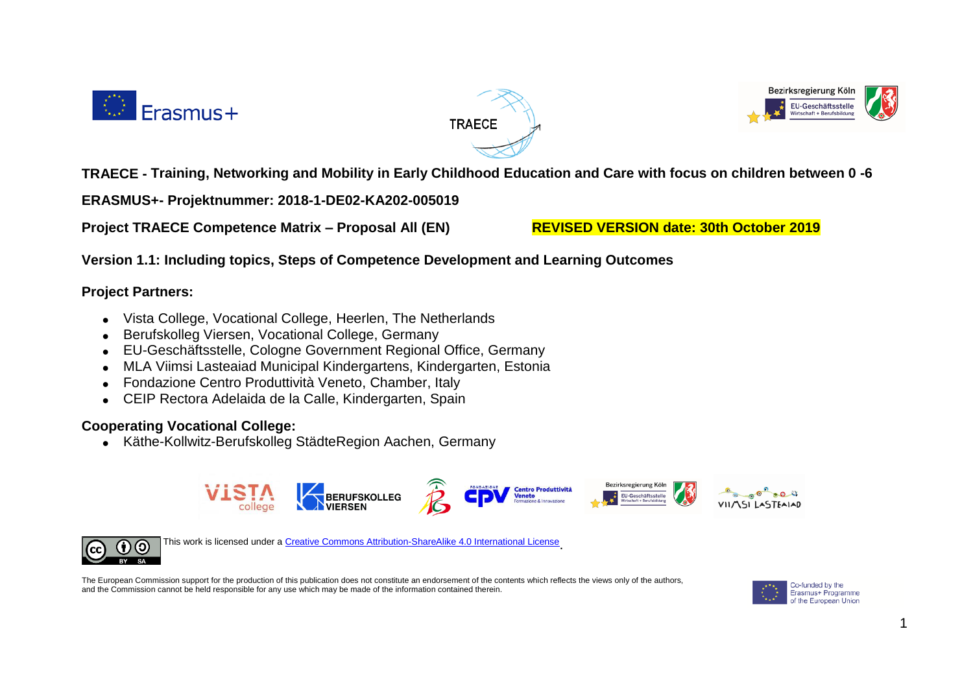





**TRAECE - Training, Networking and Mobility in Early Childhood Education and Care with focus on children between 0 -6**

**ERASMUS+- Projektnummer: 2018-1-DE02-KA202-005019**

**Project TRAECE Competence Matrix – Proposal All (EN) REVISED VERSION date: 30th October 2019**

**Version 1.1: Including topics, Steps of Competence Development and Learning Outcomes**

## **Project Partners:**

- Vista College, Vocational College, Heerlen, The Netherlands
- Berufskolleg Viersen, Vocational College, Germany
- EU-Geschäftsstelle, Cologne Government Regional Office, Germany
- MLA Viimsi Lasteaiad Municipal Kindergartens, Kindergarten, Estonia
- Fondazione Centro Produttività Veneto, Chamber, Italy
- CEIP Rectora Adelaida de la Calle, Kindergarten, Spain

## **Cooperating Vocational College:**

Käthe-Kollwitz-Berufskolleg StädteRegion Aachen, Germany





This work is licensed under [a Creative Commons Attribution-ShareAlike 4.0 International License](https://creativecommons.org/licenses/by-sa/4.0/)

The European Commission support for the production of this publication does not constitute an endorsement of the contents which reflects the views only of the authors, and the Commission cannot be held responsible for any use which may be made of the information contained therein.

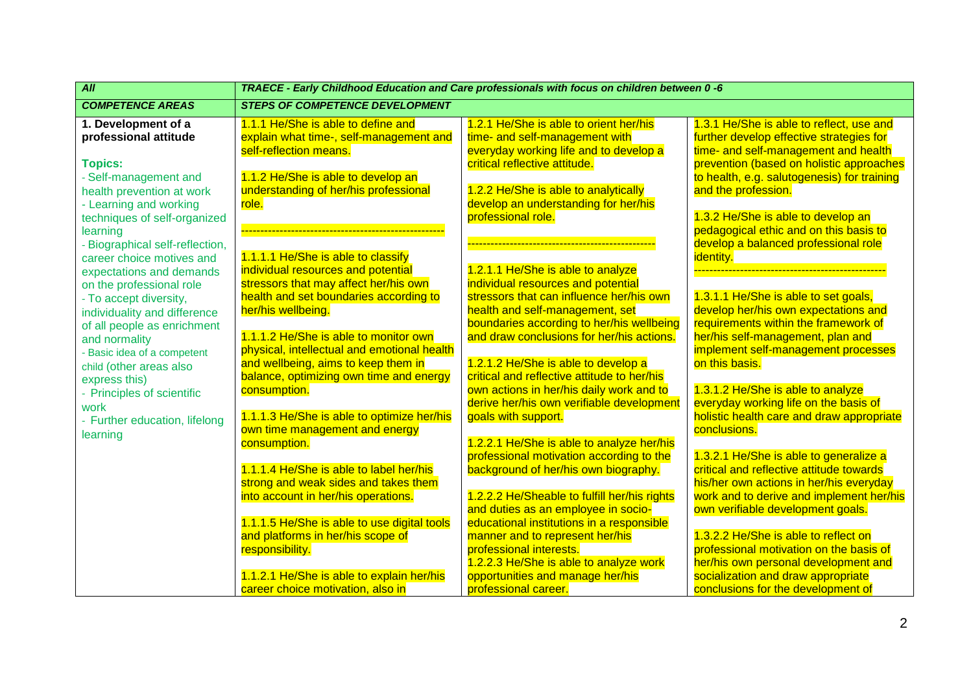| $\overline{All}$                                                                                         | TRAECE - Early Childhood Education and Care professionals with focus on children between 0 -6                         |                                                                                                                                  |                                                                                                                                                          |  |
|----------------------------------------------------------------------------------------------------------|-----------------------------------------------------------------------------------------------------------------------|----------------------------------------------------------------------------------------------------------------------------------|----------------------------------------------------------------------------------------------------------------------------------------------------------|--|
| <b>COMPETENCE AREAS</b>                                                                                  | <b>STEPS OF COMPETENCE DEVELOPMENT</b>                                                                                |                                                                                                                                  |                                                                                                                                                          |  |
| 1. Development of a<br>professional attitude                                                             | 1.1.1 He/She is able to define and<br>explain what time-, self-management and<br>self-reflection means.               | 1.2.1 He/She is able to orient her/his<br>time- and self-management with<br>everyday working life and to develop a               | 1.3.1 He/She is able to reflect, use and<br>further develop effective strategies for<br>time- and self-management and health                             |  |
| <b>Topics:</b><br>- Self-management and<br>health prevention at work<br>- Learning and working           | 1.1.2 He/She is able to develop an<br>understanding of her/his professional<br>role.                                  | critical reflective attitude.<br>1.2.2 He/She is able to analytically<br>develop an understanding for her/his                    | prevention (based on holistic approaches<br>to health, e.g. salutogenesis) for training<br>and the profession.                                           |  |
| techniques of self-organized<br>learning<br>- Biographical self-reflection,<br>career choice motives and | 1.1.1.1 He/She is able to classify                                                                                    | professional role.                                                                                                               | 1.3.2 He/She is able to develop an<br>pedagogical ethic and on this basis to<br>develop a balanced professional role<br>identity.                        |  |
| expectations and demands<br>on the professional role<br>- To accept diversity,                           | individual resources and potential<br>stressors that may affect her/his own<br>health and set boundaries according to | 1.2.1.1 He/She is able to analyze<br>individual resources and potential<br>stressors that can influence her/his own              | 1.3.1.1 He/She is able to set goals,                                                                                                                     |  |
| individuality and difference<br>of all people as enrichment<br>and normality                             | her/his wellbeing.<br>1.1.1.2 He/She is able to monitor own<br>physical, intellectual and emotional health            | health and self-management, set<br>boundaries according to her/his wellbeing<br>and draw conclusions for her/his actions.        | develop her/his own expectations and<br>requirements within the framework of<br>her/his self-management, plan and<br>implement self-management processes |  |
| - Basic idea of a competent<br>child (other areas also<br>express this)<br>- Principles of scientific    | and wellbeing, aims to keep them in<br>balance, optimizing own time and energy<br>consumption.                        | 1.2.1.2 He/She is able to develop a<br>critical and reflective attitude to her/his<br>own actions in her/his daily work and to   | on this basis.<br>1.3.1.2 He/She is able to analyze                                                                                                      |  |
| work<br>- Further education, lifelong<br>learning                                                        | 1.1.1.3 He/She is able to optimize her/his<br>own time management and energy<br>consumption.                          | derive her/his own verifiable development<br>goals with support.<br>1.2.2.1 He/She is able to analyze her/his                    | everyday working life on the basis of<br>holistic health care and draw appropriate<br>conclusions.                                                       |  |
|                                                                                                          | 1.1.1.4 He/She is able to label her/his<br>strong and weak sides and takes them                                       | professional motivation according to the<br>background of her/his own biography.                                                 | 1.3.2.1 He/She is able to generalize a<br>critical and reflective attitude towards<br>his/her own actions in her/his everyday                            |  |
|                                                                                                          | into account in her/his operations.<br>1.1.1.5 He/She is able to use digital tools                                    | 1.2.2.2 He/Sheable to fulfill her/his rights<br>and duties as an employee in socio-<br>educational institutions in a responsible | work and to derive and implement her/his<br>own verifiable development goals.                                                                            |  |
|                                                                                                          | and platforms in her/his scope of<br>responsibility.                                                                  | manner and to represent her/his<br>professional interests.<br>1.2.2.3 He/She is able to analyze work                             | 1.3.2.2 He/She is able to reflect on<br>professional motivation on the basis of<br>her/his own personal development and                                  |  |
|                                                                                                          | 1.1.2.1 He/She is able to explain her/his<br>career choice motivation, also in                                        | opportunities and manage her/his<br>professional career.                                                                         | socialization and draw appropriate<br>conclusions for the development of                                                                                 |  |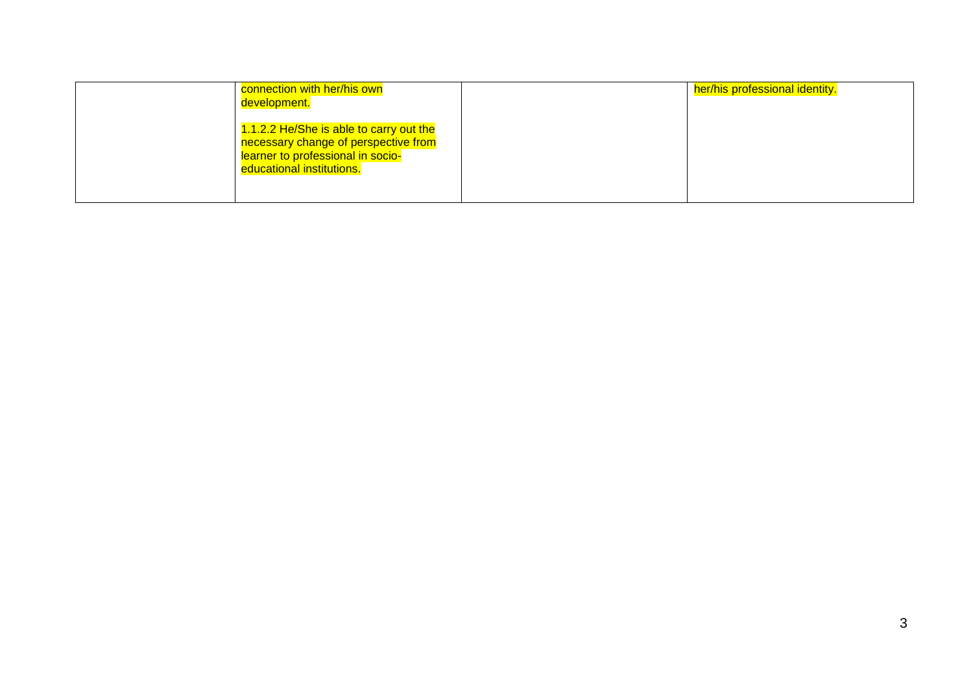| connection with her/his own<br>development.                                                                                                       | her/his professional identity. |
|---------------------------------------------------------------------------------------------------------------------------------------------------|--------------------------------|
| 1.1.2.2 He/She is able to carry out the<br>necessary change of perspective from<br>learner to professional in socio-<br>educational institutions. |                                |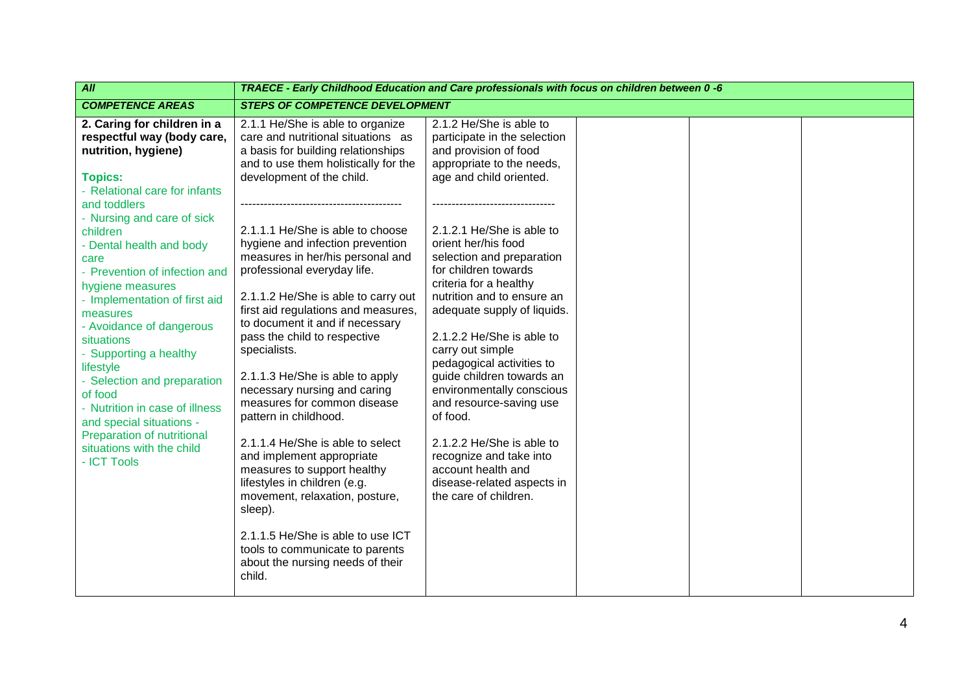| All                                                                                                                                                                                                                                                                                                                                                                                                                                                                                                                                                                                                    | TRAECE - Early Childhood Education and Care professionals with focus on children between 0 -6                                                                                                                                                                                                                                                                                                                                                                                                                                                                                                                                                                                                                                                                                                                                                                                 |                                                                                                                                                                                                                                                                                                                                                                                                                                                                                                                                                                                                                                                              |  |  |  |
|--------------------------------------------------------------------------------------------------------------------------------------------------------------------------------------------------------------------------------------------------------------------------------------------------------------------------------------------------------------------------------------------------------------------------------------------------------------------------------------------------------------------------------------------------------------------------------------------------------|-------------------------------------------------------------------------------------------------------------------------------------------------------------------------------------------------------------------------------------------------------------------------------------------------------------------------------------------------------------------------------------------------------------------------------------------------------------------------------------------------------------------------------------------------------------------------------------------------------------------------------------------------------------------------------------------------------------------------------------------------------------------------------------------------------------------------------------------------------------------------------|--------------------------------------------------------------------------------------------------------------------------------------------------------------------------------------------------------------------------------------------------------------------------------------------------------------------------------------------------------------------------------------------------------------------------------------------------------------------------------------------------------------------------------------------------------------------------------------------------------------------------------------------------------------|--|--|--|
| <b>COMPETENCE AREAS</b>                                                                                                                                                                                                                                                                                                                                                                                                                                                                                                                                                                                | <b>STEPS OF COMPETENCE DEVELOPMENT</b>                                                                                                                                                                                                                                                                                                                                                                                                                                                                                                                                                                                                                                                                                                                                                                                                                                        |                                                                                                                                                                                                                                                                                                                                                                                                                                                                                                                                                                                                                                                              |  |  |  |
| 2. Caring for children in a<br>respectful way (body care,<br>nutrition, hygiene)<br><b>Topics:</b><br>- Relational care for infants<br>and toddlers<br>- Nursing and care of sick<br>children<br>- Dental health and body<br>care<br>- Prevention of infection and<br>hygiene measures<br>- Implementation of first aid<br>measures<br>- Avoidance of dangerous<br>situations<br>- Supporting a healthy<br>lifestyle<br>- Selection and preparation<br>of food<br>- Nutrition in case of illness<br>and special situations -<br>Preparation of nutritional<br>situations with the child<br>- ICT Tools | 2.1.1 He/She is able to organize<br>care and nutritional situations as<br>a basis for building relationships<br>and to use them holistically for the<br>development of the child.<br>2.1.1.1 He/She is able to choose<br>hygiene and infection prevention<br>measures in her/his personal and<br>professional everyday life.<br>2.1.1.2 He/She is able to carry out<br>first aid regulations and measures,<br>to document it and if necessary<br>pass the child to respective<br>specialists.<br>2.1.1.3 He/She is able to apply<br>necessary nursing and caring<br>measures for common disease<br>pattern in childhood.<br>2.1.1.4 He/She is able to select<br>and implement appropriate<br>measures to support healthy<br>lifestyles in children (e.g.<br>movement, relaxation, posture,<br>sleep).<br>2.1.1.5 He/She is able to use ICT<br>tools to communicate to parents | 2.1.2 He/She is able to<br>participate in the selection<br>and provision of food<br>appropriate to the needs,<br>age and child oriented.<br>2.1.2.1 He/She is able to<br>orient her/his food<br>selection and preparation<br>for children towards<br>criteria for a healthy<br>nutrition and to ensure an<br>adequate supply of liquids.<br>2.1.2.2 He/She is able to<br>carry out simple<br>pedagogical activities to<br>guide children towards an<br>environmentally conscious<br>and resource-saving use<br>of food.<br>2.1.2.2 He/She is able to<br>recognize and take into<br>account health and<br>disease-related aspects in<br>the care of children. |  |  |  |
|                                                                                                                                                                                                                                                                                                                                                                                                                                                                                                                                                                                                        | about the nursing needs of their<br>child.                                                                                                                                                                                                                                                                                                                                                                                                                                                                                                                                                                                                                                                                                                                                                                                                                                    |                                                                                                                                                                                                                                                                                                                                                                                                                                                                                                                                                                                                                                                              |  |  |  |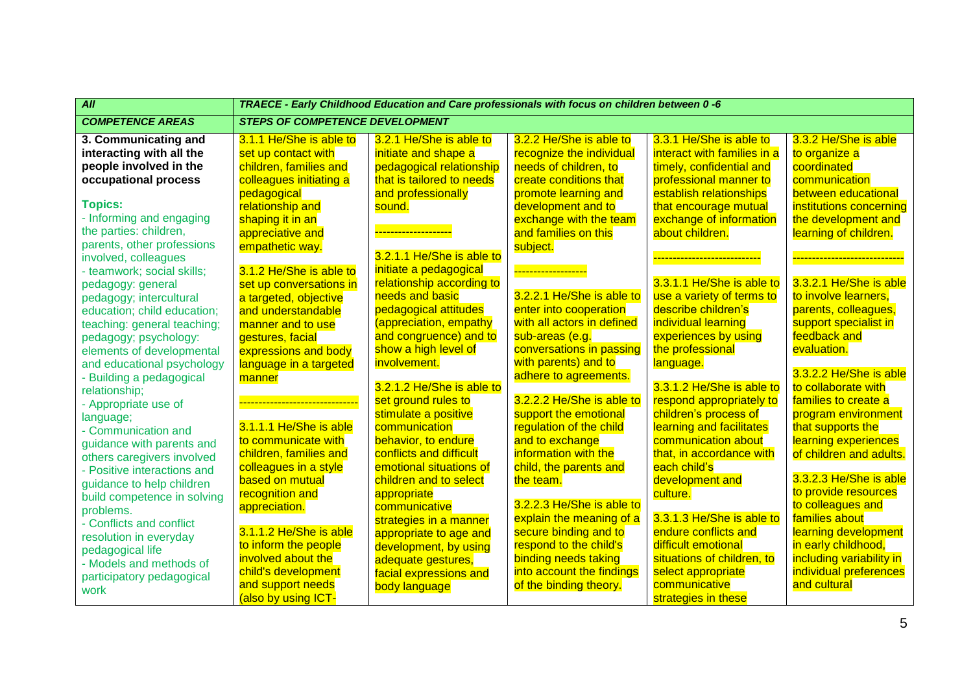| $\overline{All}$            | TRAECE - Early Childhood Education and Care professionals with focus on children between 0 -6 |                                    |                                  |                             |                          |  |
|-----------------------------|-----------------------------------------------------------------------------------------------|------------------------------------|----------------------------------|-----------------------------|--------------------------|--|
| <b>COMPETENCE AREAS</b>     | <b>STEPS OF COMPETENCE DEVELOPMENT</b>                                                        |                                    |                                  |                             |                          |  |
| 3. Communicating and        | 3.1.1 He/She is able to                                                                       | 3.2.1 He/She is able to            | 3.2.2 He/She is able to          | 3.3.1 He/She is able to     | 3.3.2 He/She is able     |  |
| interacting with all the    | set up contact with                                                                           | initiate and shape a               | recognize the individual         | interact with families in a | to organize a            |  |
| people involved in the      | children, families and                                                                        | pedagogical relationship           | needs of children, to            | timely, confidential and    | coordinated              |  |
| occupational process        | colleagues initiating a                                                                       | that is tailored to needs          | create conditions that           | professional manner to      | communication            |  |
|                             | pedagogical                                                                                   | and professionally                 | promote learning and             | establish relationships     | between educational      |  |
| <b>Topics:</b>              | relationship and                                                                              | sound.                             | development and to               | that encourage mutual       | institutions concerning  |  |
| - Informing and engaging    | shaping it in an                                                                              |                                    | exchange with the team           | exchange of information     | the development and      |  |
| the parties: children,      | appreciative and                                                                              | <mark>---------------------</mark> | and families on this             | about children.             | learning of children.    |  |
| parents, other professions  | empathetic way.                                                                               |                                    | subject.                         |                             |                          |  |
| involved, colleagues        |                                                                                               | 3.2.1.1 He/She is able to          |                                  |                             | ----------------------   |  |
| - teamwork; social skills;  | 3.1.2 He/She is able to                                                                       | initiate a pedagogical             | <mark>___________________</mark> |                             |                          |  |
| pedagogy: general           | set up conversations in                                                                       | relationship according to          |                                  | 3.3.1.1 He/She is able to   | 3.3.2.1 He/She is able   |  |
| pedagogy; intercultural     | a targeted, objective                                                                         | needs and basic                    | 3.2.2.1 He/She is able to        | use a variety of terms to   | to involve learners,     |  |
| education; child education; | and understandable                                                                            | pedagogical attitudes              | enter into cooperation           | describe children's         | parents, colleagues,     |  |
| teaching: general teaching; | manner and to use                                                                             | (appreciation, empathy             | with all actors in defined       | individual learning         | support specialist in    |  |
| pedagogy; psychology:       | gestures, facial                                                                              | and congruence) and to             | sub-areas (e.g.                  | experiences by using        | feedback and             |  |
| elements of developmental   | expressions and body                                                                          | show a high level of               | conversations in passing         | the professional            | evaluation.              |  |
| and educational psychology  | language in a targeted                                                                        | involvement.                       | with parents) and to             | language.                   |                          |  |
| - Building a pedagogical    | manner                                                                                        |                                    | adhere to agreements.            |                             | 3.3.2.2 He/She is able   |  |
| relationship;               |                                                                                               | 3.2.1.2 He/She is able to          |                                  | 3.3.1.2 He/She is able to   | to collaborate with      |  |
| - Appropriate use of        | ---------------------------                                                                   | set ground rules to                | 3.2.2.2 He/She is able to        | respond appropriately to    | families to create a     |  |
| language;                   |                                                                                               | stimulate a positive               | support the emotional            | children's process of       | program environment      |  |
| - Communication and         | 3.1.1.1 He/She is able                                                                        | communication                      | regulation of the child          | learning and facilitates    | that supports the        |  |
| guidance with parents and   | to communicate with                                                                           | behavior, to endure                | and to exchange                  | communication about         | learning experiences     |  |
| others caregivers involved  | children, families and                                                                        | conflicts and difficult            | information with the             | that, in accordance with    | of children and adults.  |  |
| - Positive interactions and | colleagues in a style                                                                         | emotional situations of            | child, the parents and           | each child's                |                          |  |
| guidance to help children   | based on mutual                                                                               | children and to select             | the team.                        | development and             | 3.3.2.3 He/She is able   |  |
| build competence in solving | recognition and                                                                               | appropriate                        |                                  | culture.                    | to provide resources     |  |
| problems.                   | appreciation.                                                                                 | communicative                      | 3.2.2.3 He/She is able to        |                             | to colleagues and        |  |
| - Conflicts and conflict    |                                                                                               | strategies in a manner             | explain the meaning of a         | 3.3.1.3 He/She is able to   | families about           |  |
| resolution in everyday      | 3.1.1.2 He/She is able                                                                        | appropriate to age and             | secure binding and to            | endure conflicts and        | learning development     |  |
| pedagogical life            | to inform the people                                                                          | development, by using              | respond to the child's           | difficult emotional         | in early childhood,      |  |
| - Models and methods of     | involved about the                                                                            | adequate gestures,                 | binding needs taking             | situations of children, to  | including variability in |  |
| participatory pedagogical   | child's development                                                                           | facial expressions and             | into account the findings        | select appropriate          | individual preferences   |  |
| work                        | and support needs                                                                             | body language                      | of the binding theory.           | communicative               | and cultural             |  |
|                             | (also by using ICT-                                                                           |                                    |                                  | strategies in these         |                          |  |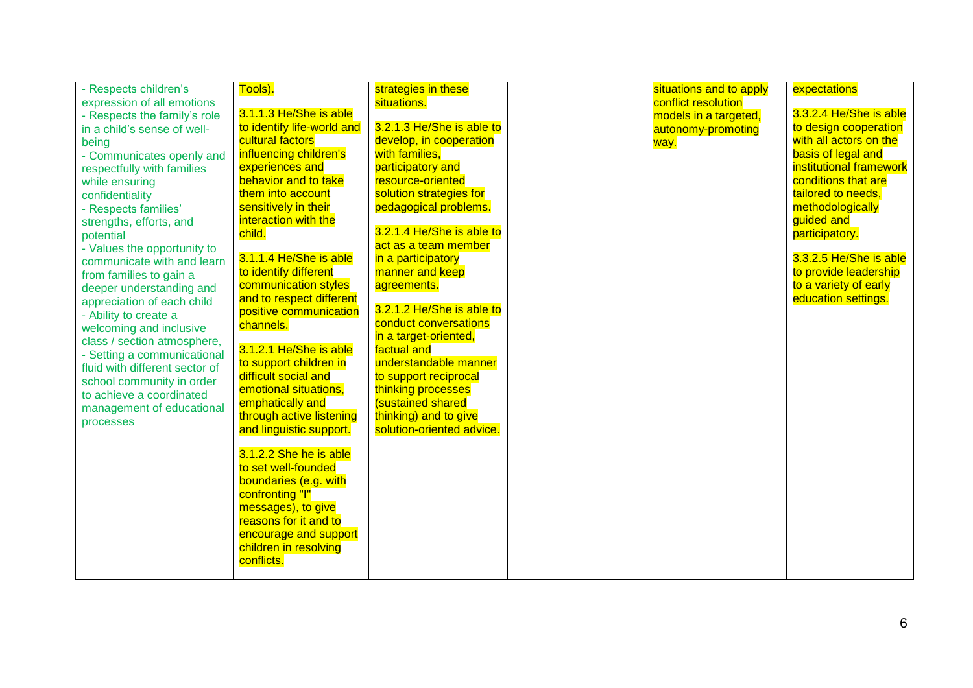| - Respects children's<br>expression of all emotions<br>- Respects the family's role<br>in a child's sense of well-<br>being<br>- Communicates openly and<br>respectfully with families<br>while ensuring<br>confidentiality<br>- Respects families'<br>strengths, efforts, and<br>potential<br>- Values the opportunity to<br>communicate with and learn<br>from families to gain a<br>deeper understanding and<br>appreciation of each child<br>- Ability to create a<br>welcoming and inclusive<br>class / section atmosphere,<br>- Setting a communicational<br>fluid with different sector of<br>school community in order<br>to achieve a coordinated<br>management of educational<br>processes | Tools).<br>3.1.1.3 He/She is able<br>to identify life-world and<br>cultural factors<br>influencing children's<br>experiences and<br>behavior and to take<br>them into account<br>sensitively in their<br>interaction with the<br>child.<br>3.1.1.4 He/She is able<br>to identify different<br>communication styles<br>and to respect different<br>positive communication<br>channels.<br>3.1.2.1 He/She is able<br>to support children in<br>difficult social and<br>emotional situations,<br>emphatically and<br>through active listening<br>and linguistic support.<br>3.1.2.2 She he is able<br>to set well-founded<br>boundaries (e.g. with<br>confronting "I"<br>messages), to give<br>reasons for it and to<br>encourage and support<br>children in resolving<br>conflicts. | strategies in these<br>situations.<br>3.2.1.3 He/She is able to<br>develop, in cooperation<br>with families,<br>participatory and<br>resource-oriented<br>solution strategies for<br>pedagogical problems.<br>3.2.1.4 He/She is able to<br>act as a team member<br>in a participatory<br>manner and keep<br>agreements.<br>3.2.1.2 He/She is able to<br>conduct conversations<br>in a target-oriented,<br>factual and<br>understandable manner<br>to support reciprocal<br>thinking processes<br>sustained shared<br>thinking) and to give<br>solution-oriented advice. |  | situations and to apply<br>conflict resolution<br>models in a targeted,<br>autonomy-promoting<br>way. | expectations<br>3.3.2.4 He/She is able<br>to design cooperation<br>with all actors on the<br>basis of legal and<br>institutional framework<br>conditions that are<br>tailored to needs,<br>methodologically<br>guided and<br>participatory.<br>3.3.2.5 He/She is able<br>to provide leadership<br>to a variety of early<br>education settings. |
|------------------------------------------------------------------------------------------------------------------------------------------------------------------------------------------------------------------------------------------------------------------------------------------------------------------------------------------------------------------------------------------------------------------------------------------------------------------------------------------------------------------------------------------------------------------------------------------------------------------------------------------------------------------------------------------------------|-----------------------------------------------------------------------------------------------------------------------------------------------------------------------------------------------------------------------------------------------------------------------------------------------------------------------------------------------------------------------------------------------------------------------------------------------------------------------------------------------------------------------------------------------------------------------------------------------------------------------------------------------------------------------------------------------------------------------------------------------------------------------------------|-------------------------------------------------------------------------------------------------------------------------------------------------------------------------------------------------------------------------------------------------------------------------------------------------------------------------------------------------------------------------------------------------------------------------------------------------------------------------------------------------------------------------------------------------------------------------|--|-------------------------------------------------------------------------------------------------------|------------------------------------------------------------------------------------------------------------------------------------------------------------------------------------------------------------------------------------------------------------------------------------------------------------------------------------------------|
|------------------------------------------------------------------------------------------------------------------------------------------------------------------------------------------------------------------------------------------------------------------------------------------------------------------------------------------------------------------------------------------------------------------------------------------------------------------------------------------------------------------------------------------------------------------------------------------------------------------------------------------------------------------------------------------------------|-----------------------------------------------------------------------------------------------------------------------------------------------------------------------------------------------------------------------------------------------------------------------------------------------------------------------------------------------------------------------------------------------------------------------------------------------------------------------------------------------------------------------------------------------------------------------------------------------------------------------------------------------------------------------------------------------------------------------------------------------------------------------------------|-------------------------------------------------------------------------------------------------------------------------------------------------------------------------------------------------------------------------------------------------------------------------------------------------------------------------------------------------------------------------------------------------------------------------------------------------------------------------------------------------------------------------------------------------------------------------|--|-------------------------------------------------------------------------------------------------------|------------------------------------------------------------------------------------------------------------------------------------------------------------------------------------------------------------------------------------------------------------------------------------------------------------------------------------------------|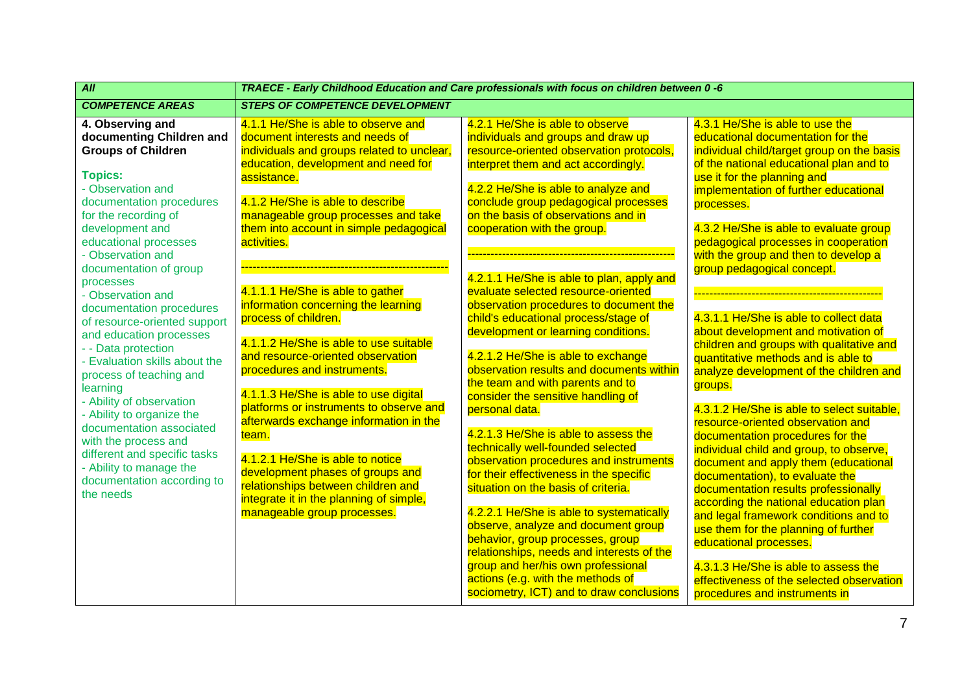| $\overline{All}$                                                                                                                                                                                                                                                                                                         | TRAECE - Early Childhood Education and Care professionals with focus on children between 0 -6                                                                                                                                                                                                    |                                                                                                                                                                                                                                                                                                                                                                                                                                                                                                                    |                                                                                                                                                                                                                                                                                                                                                                                                                                                                                                                                                             |  |
|--------------------------------------------------------------------------------------------------------------------------------------------------------------------------------------------------------------------------------------------------------------------------------------------------------------------------|--------------------------------------------------------------------------------------------------------------------------------------------------------------------------------------------------------------------------------------------------------------------------------------------------|--------------------------------------------------------------------------------------------------------------------------------------------------------------------------------------------------------------------------------------------------------------------------------------------------------------------------------------------------------------------------------------------------------------------------------------------------------------------------------------------------------------------|-------------------------------------------------------------------------------------------------------------------------------------------------------------------------------------------------------------------------------------------------------------------------------------------------------------------------------------------------------------------------------------------------------------------------------------------------------------------------------------------------------------------------------------------------------------|--|
| <b>COMPETENCE AREAS</b>                                                                                                                                                                                                                                                                                                  | <b>STEPS OF COMPETENCE DEVELOPMENT</b>                                                                                                                                                                                                                                                           |                                                                                                                                                                                                                                                                                                                                                                                                                                                                                                                    |                                                                                                                                                                                                                                                                                                                                                                                                                                                                                                                                                             |  |
| 4. Observing and<br>documenting Children and<br><b>Groups of Children</b><br><b>Topics:</b><br>- Observation and<br>documentation procedures<br>for the recording of<br>development and                                                                                                                                  | 4.1.1 He/She is able to observe and<br>document interests and needs of<br>individuals and groups related to unclear,<br>education, development and need for<br>assistance.<br>4.1.2 He/She is able to describe<br>manageable group processes and take<br>them into account in simple pedagogical | 4.2.1 He/She is able to observe<br>individuals and groups and draw up<br>resource-oriented observation protocols,<br>interpret them and act accordingly.<br>4.2.2 He/She is able to analyze and<br>conclude group pedagogical processes<br>on the basis of observations and in<br>cooperation with the group.                                                                                                                                                                                                      | 4.3.1 He/She is able to use the<br>educational documentation for the<br>individual child/target group on the basis<br>of the national educational plan and to<br>use it for the planning and<br>implementation of further educational<br>processes.<br>4.3.2 He/She is able to evaluate group                                                                                                                                                                                                                                                               |  |
| educational processes<br>- Observation and<br>documentation of group<br>processes<br>- Observation and<br>documentation procedures<br>of resource-oriented support<br>and education processes<br>- - Data protection<br>- Evaluation skills about the<br>process of teaching and<br>learning<br>- Ability of observation | activities.<br>4.1.1.1 He/She is able to gather<br>information concerning the learning<br>process of children.<br>4.1.1.2 He/She is able to use suitable<br>and resource-oriented observation<br>procedures and instruments.<br>4.1.1.3 He/She is able to use digital                            | 4.2.1.1 He/She is able to plan, apply and<br>evaluate selected resource-oriented<br>observation procedures to document the<br>child's educational process/stage of<br>development or learning conditions.<br>4.2.1.2 He/She is able to exchange<br>observation results and documents within<br>the team and with parents and to<br>consider the sensitive handling of                                                                                                                                              | pedagogical processes in cooperation<br>with the group and then to develop a<br>group pedagogical concept.<br>4.3.1.1 He/She is able to collect data<br>about development and motivation of<br>children and groups with qualitative and<br>quantitative methods and is able to<br>analyze development of the children and<br>groups.                                                                                                                                                                                                                        |  |
| - Ability to organize the<br>documentation associated<br>with the process and<br>different and specific tasks<br>- Ability to manage the<br>documentation according to<br>the needs                                                                                                                                      | platforms or instruments to observe and<br>afterwards exchange information in the<br>team.<br>4.1.2.1 He/She is able to notice<br>development phases of groups and<br>relationships between children and<br>integrate it in the planning of simple,<br>manageable group processes.               | personal data.<br>4.2.1.3 He/She is able to assess the<br>technically well-founded selected<br>observation procedures and instruments<br>for their effectiveness in the specific<br>situation on the basis of criteria.<br>4.2.2.1 He/She is able to systematically<br>observe, analyze and document group<br>behavior, group processes, group<br>relationships, needs and interests of the<br>group and her/his own professional<br>actions (e.g. with the methods of<br>sociometry, ICT) and to draw conclusions | 4.3.1.2 He/She is able to select suitable,<br>resource-oriented observation and<br>documentation procedures for the<br>individual child and group, to observe,<br>document and apply them (educational<br>documentation), to evaluate the<br>documentation results professionally<br>according the national education plan<br>and legal framework conditions and to<br>use them for the planning of further<br>educational processes.<br>4.3.1.3 He/She is able to assess the<br>effectiveness of the selected observation<br>procedures and instruments in |  |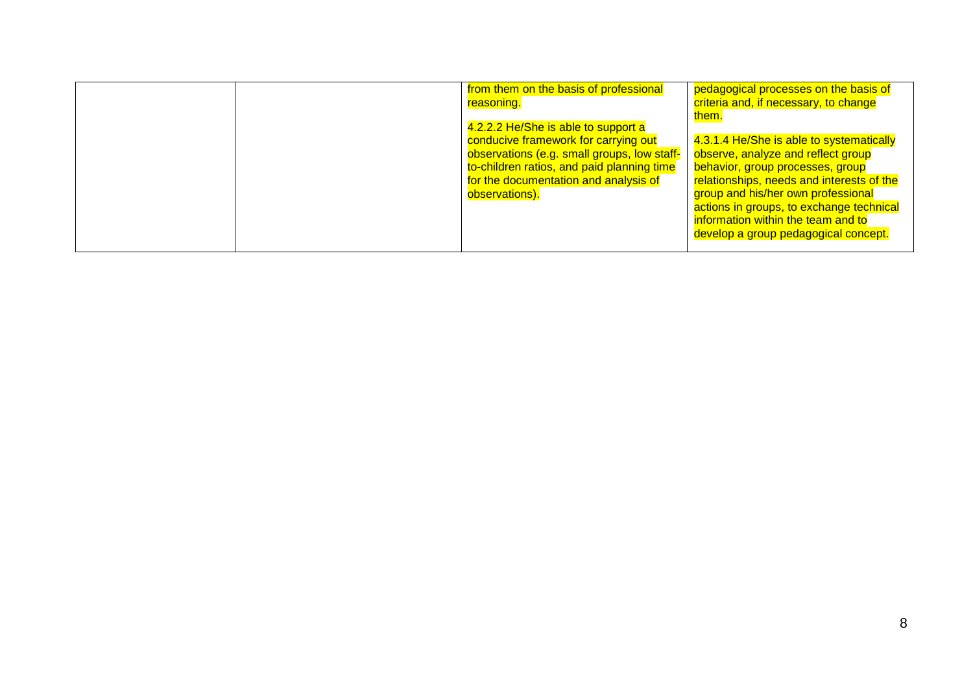| from them on the basis of professional<br>reasoning.                                                                                                                     | pedagogical processes on the basis of<br>criteria and, if necessary, to change<br>them.                                                                                                                   |
|--------------------------------------------------------------------------------------------------------------------------------------------------------------------------|-----------------------------------------------------------------------------------------------------------------------------------------------------------------------------------------------------------|
| 4.2.2.2 He/She is able to support a<br>conducive framework for carrying out<br>observations (e.g. small groups, low staff-<br>to-children ratios, and paid planning time | 4.3.1.4 He/She is able to systematically<br>observe, analyze and reflect group<br>behavior, group processes, group                                                                                        |
| for the documentation and analysis of<br>observations).                                                                                                                  | relationships, needs and interests of the<br>group and his/her own professional<br>actions in groups, to exchange technical<br>information within the team and to<br>develop a group pedagogical concept. |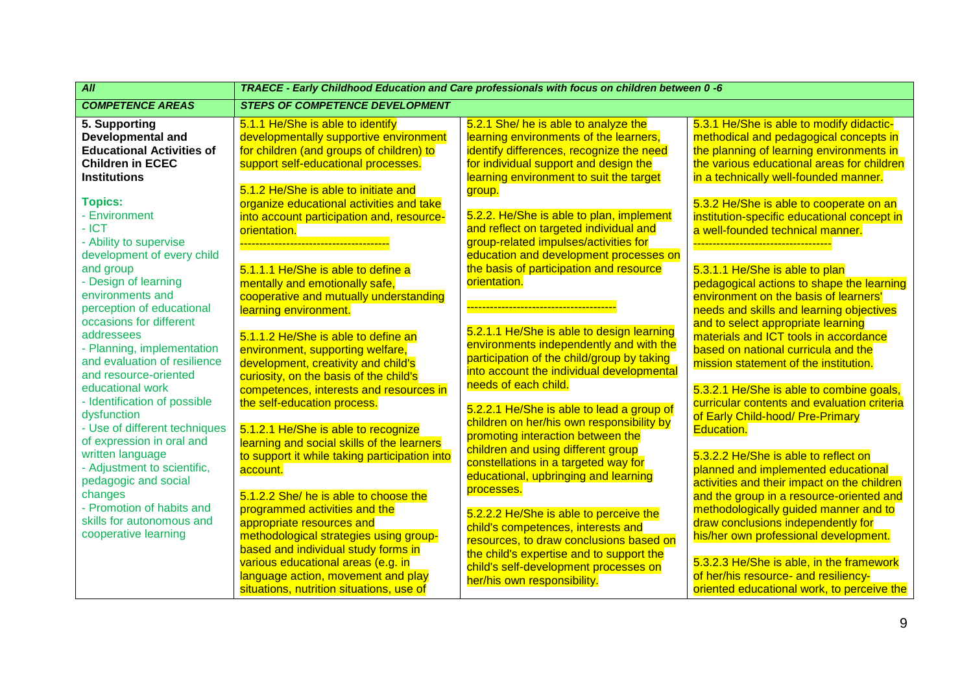| All                                                          | TRAECE - Early Childhood Education and Care professionals with focus on children between 0 -6 |                                                                                  |                                                                                    |  |
|--------------------------------------------------------------|-----------------------------------------------------------------------------------------------|----------------------------------------------------------------------------------|------------------------------------------------------------------------------------|--|
| <b>COMPETENCE AREAS</b>                                      | <b>STEPS OF COMPETENCE DEVELOPMENT</b>                                                        |                                                                                  |                                                                                    |  |
| 5. Supporting                                                | 5.1.1 He/She is able to identify                                                              | 5.2.1 She/ he is able to analyze the                                             | 5.3.1 He/She is able to modify didactic-                                           |  |
| <b>Developmental and</b><br><b>Educational Activities of</b> | developmentally supportive environment                                                        | learning environments of the learners,                                           | methodical and pedagogical concepts in<br>the planning of learning environments in |  |
| <b>Children in ECEC</b>                                      | for children (and groups of children) to                                                      | identify differences, recognize the need                                         | the various educational areas for children                                         |  |
| <b>Institutions</b>                                          | support self-educational processes.                                                           | for individual support and design the<br>learning environment to suit the target | in a technically well-founded manner.                                              |  |
|                                                              | 5.1.2 He/She is able to initiate and                                                          |                                                                                  |                                                                                    |  |
| <b>Topics:</b>                                               | organize educational activities and take                                                      | group.                                                                           | 5.3.2 He/She is able to cooperate on an                                            |  |
| - Environment                                                | into account participation and, resource-                                                     | 5.2.2. He/She is able to plan, implement                                         | institution-specific educational concept in                                        |  |
| $-ICT$                                                       | orientation.                                                                                  | and reflect on targeted individual and                                           | a well-founded technical manner.                                                   |  |
| - Ability to supervise                                       |                                                                                               | group-related impulses/activities for                                            |                                                                                    |  |
| development of every child                                   |                                                                                               | education and development processes on                                           |                                                                                    |  |
| and group                                                    | 5.1.1.1 He/She is able to define a                                                            | the basis of participation and resource                                          | 5.3.1.1 He/She is able to plan                                                     |  |
| - Design of learning                                         | mentally and emotionally safe,                                                                | orientation.                                                                     | pedagogical actions to shape the learning                                          |  |
| environments and                                             | cooperative and mutually understanding                                                        |                                                                                  | environment on the basis of learners'                                              |  |
| perception of educational                                    | learning environment.                                                                         |                                                                                  | needs and skills and learning objectives                                           |  |
| occasions for different                                      |                                                                                               |                                                                                  | and to select appropriate learning                                                 |  |
| addressees                                                   | 5.1.1.2 He/She is able to define an                                                           | 5.2.1.1 He/She is able to design learning                                        | materials and ICT tools in accordance                                              |  |
| - Planning, implementation                                   | environment, supporting welfare,                                                              | environments independently and with the                                          | based on national curricula and the                                                |  |
| and evaluation of resilience                                 | development, creativity and child's                                                           | participation of the child/group by taking                                       | mission statement of the institution.                                              |  |
| and resource-oriented                                        | curiosity, on the basis of the child's                                                        | into account the individual developmental                                        |                                                                                    |  |
| educational work                                             | competences, interests and resources in                                                       | needs of each child.                                                             | 5.3.2.1 He/She is able to combine goals,                                           |  |
| - Identification of possible                                 | the self-education process.                                                                   | 5.2.2.1 He/She is able to lead a group of                                        | curricular contents and evaluation criteria                                        |  |
| dysfunction                                                  |                                                                                               |                                                                                  | of Early Child-hood/ Pre-Primary                                                   |  |
| - Use of different techniques                                | 5.1.2.1 He/She is able to recognize                                                           | children on her/his own responsibility by                                        | <b>Education.</b>                                                                  |  |
| of expression in oral and                                    | learning and social skills of the learners                                                    | promoting interaction between the<br>children and using different group          |                                                                                    |  |
| written language                                             | to support it while taking participation into                                                 | constellations in a targeted way for                                             | 5.3.2.2 He/She is able to reflect on                                               |  |
| - Adjustment to scientific,                                  | account.                                                                                      | educational, upbringing and learning                                             | planned and implemented educational                                                |  |
| pedagogic and social                                         |                                                                                               | processes.                                                                       | activities and their impact on the children                                        |  |
| changes                                                      | 5.1.2.2 She/ he is able to choose the                                                         |                                                                                  | and the group in a resource-oriented and                                           |  |
| - Promotion of habits and                                    | programmed activities and the                                                                 | 5.2.2.2 He/She is able to perceive the                                           | methodologically guided manner and to                                              |  |
| skills for autonomous and                                    | appropriate resources and                                                                     | child's competences, interests and                                               | draw conclusions independently for                                                 |  |
| cooperative learning                                         | methodological strategies using group-                                                        | resources, to draw conclusions based on                                          | his/her own professional development.                                              |  |
|                                                              | based and individual study forms in                                                           | the child's expertise and to support the                                         |                                                                                    |  |
|                                                              | various educational areas (e.g. in                                                            | child's self-development processes on                                            | 5.3.2.3 He/She is able, in the framework                                           |  |
|                                                              | language action, movement and play                                                            | her/his own responsibility.                                                      | of her/his resource- and resiliency-                                               |  |
|                                                              | situations, nutrition situations, use of                                                      |                                                                                  | oriented educational work, to perceive the                                         |  |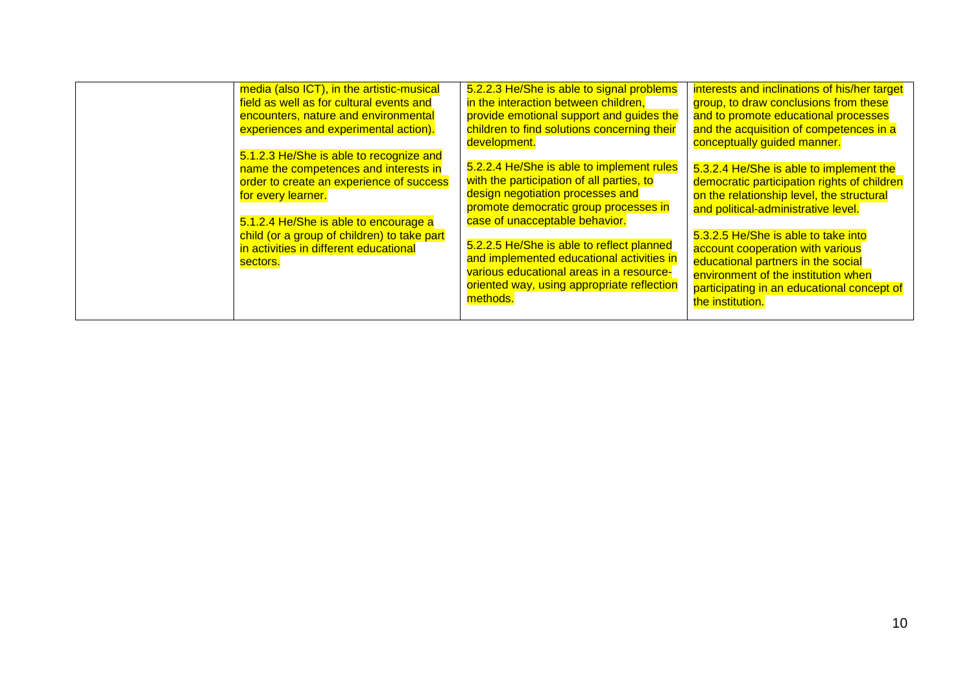| media (also ICT), in the artistic-musical<br>field as well as for cultural events and<br>encounters, nature and environmental<br>experiences and experimental action).<br>5.1.2.3 He/She is able to recognize and | 5.2.2.3 He/She is able to signal problems<br>in the interaction between children,<br>provide emotional support and guides the<br>children to find solutions concerning their<br>development.          | interests and inclinations of his/her target<br>group, to draw conclusions from these<br>and to promote educational processes<br>and the acquisition of competences in a<br>conceptually guided manner.                |
|-------------------------------------------------------------------------------------------------------------------------------------------------------------------------------------------------------------------|-------------------------------------------------------------------------------------------------------------------------------------------------------------------------------------------------------|------------------------------------------------------------------------------------------------------------------------------------------------------------------------------------------------------------------------|
| name the competences and interests in<br>order to create an experience of success<br>for every learner.<br>5.1.2.4 He/She is able to encourage a                                                                  | 5.2.2.4 He/She is able to implement rules<br>with the participation of all parties, to<br>design negotiation processes and<br>promote democratic group processes in<br>case of unacceptable behavior. | 5.3.2.4 He/She is able to implement the<br>democratic participation rights of children<br>on the relationship level, the structural<br>and political-administrative level.                                             |
| child (or a group of children) to take part<br>in activities in different educational<br>sectors.                                                                                                                 | 5.2.2.5 He/She is able to reflect planned<br>and implemented educational activities in<br>various educational areas in a resource-<br>oriented way, using appropriate reflection<br>methods.          | 5.3.2.5 He/She is able to take into<br>account cooperation with various<br>educational partners in the social<br>environment of the institution when<br>participating in an educational concept of<br>the institution. |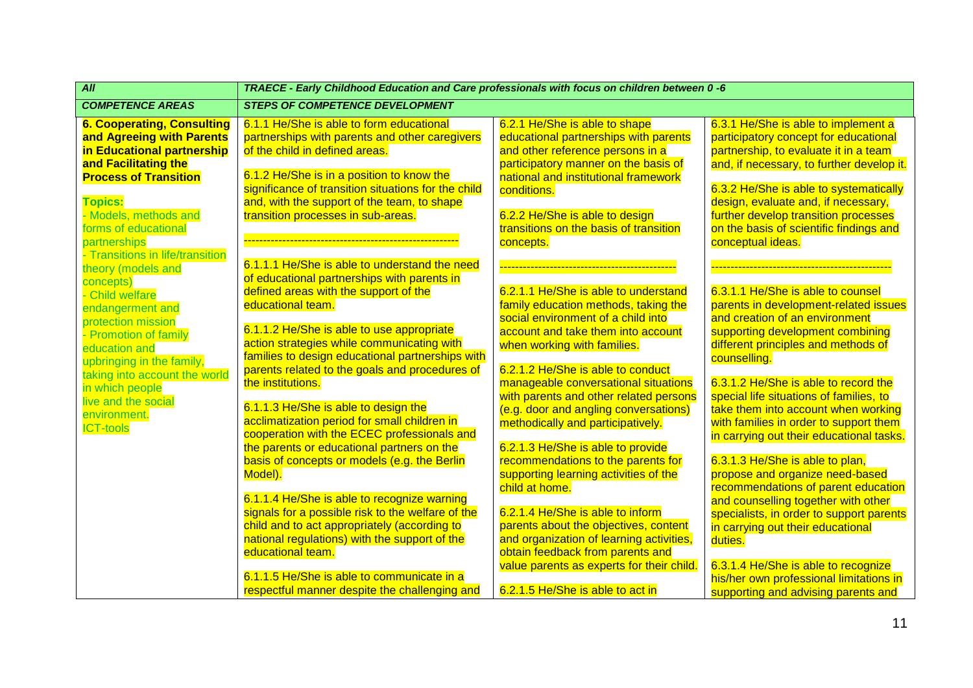| All                                                                                                                                                                                             | TRAECE - Early Childhood Education and Care professionals with focus on children between 0 -6                                                                                                                                                                                   |                                                                                                                                                                                                                                             |                                                                                                                                                                                                                                                                                             |  |  |
|-------------------------------------------------------------------------------------------------------------------------------------------------------------------------------------------------|---------------------------------------------------------------------------------------------------------------------------------------------------------------------------------------------------------------------------------------------------------------------------------|---------------------------------------------------------------------------------------------------------------------------------------------------------------------------------------------------------------------------------------------|---------------------------------------------------------------------------------------------------------------------------------------------------------------------------------------------------------------------------------------------------------------------------------------------|--|--|
| <b>COMPETENCE AREAS</b>                                                                                                                                                                         | <b>STEPS OF COMPETENCE DEVELOPMENT</b>                                                                                                                                                                                                                                          |                                                                                                                                                                                                                                             |                                                                                                                                                                                                                                                                                             |  |  |
| <b>6. Cooperating, Consulting</b><br>and Agreeing with Parents<br>in Educational partnership<br>and Facilitating the<br><b>Process of Transition</b><br><b>Topics:</b><br>- Models, methods and | 6.1.1 He/She is able to form educational<br>partnerships with parents and other caregivers<br>of the child in defined areas.<br>6.1.2 He/She is in a position to know the<br>significance of transition situations for the child<br>and, with the support of the team, to shape | 6.2.1 He/She is able to shape<br>educational partnerships with parents<br>and other reference persons in a<br>participatory manner on the basis of<br>national and institutional framework<br>conditions.<br>6.2.2 He/She is able to design | 6.3.1 He/She is able to implement a<br>participatory concept for educational<br>partnership, to evaluate it in a team<br>and, if necessary, to further develop it.<br>6.3.2 He/She is able to systematically<br>design, evaluate and, if necessary,<br>further develop transition processes |  |  |
| forms of educational<br>partnerships<br>- Transitions in life/transition                                                                                                                        | transition processes in sub-areas.<br>6.1.1.1 He/She is able to understand the need                                                                                                                                                                                             | transitions on the basis of transition<br>concepts.                                                                                                                                                                                         | on the basis of scientific findings and<br>conceptual ideas.                                                                                                                                                                                                                                |  |  |
| theory (models and<br>concepts)<br>- Child welfare<br>endangerment and<br>protection mission                                                                                                    | of educational partnerships with parents in<br>defined areas with the support of the<br>educational team.                                                                                                                                                                       | 6.2.1.1 He/She is able to understand<br>family education methods, taking the<br>social environment of a child into                                                                                                                          | 6.3.1.1 He/She is able to counsel<br>parents in development-related issues<br>and creation of an environment                                                                                                                                                                                |  |  |
| - Promotion of family<br>education and<br>upbringing in the family,<br>taking into account the world                                                                                            | 6.1.1.2 He/She is able to use appropriate<br>action strategies while communicating with<br>families to design educational partnerships with<br>parents related to the goals and procedures of                                                                                   | account and take them into account<br>when working with families.<br>6.2.1.2 He/She is able to conduct                                                                                                                                      | supporting development combining<br>different principles and methods of<br>counselling.                                                                                                                                                                                                     |  |  |
| in which people<br>live and the social<br>environment.<br><b>ICT-tools</b>                                                                                                                      | the institutions.<br>6.1.1.3 He/She is able to design the<br>acclimatization period for small children in<br>cooperation with the ECEC professionals and<br>the parents or educational partners on the                                                                          | manageable conversational situations<br>with parents and other related persons<br>(e.g. door and angling conversations)<br>methodically and participatively.<br>6.2.1.3 He/She is able to provide                                           | 6.3.1.2 He/She is able to record the<br>special life situations of families, to<br>take them into account when working<br>with families in order to support them<br>in carrying out their educational tasks.                                                                                |  |  |
|                                                                                                                                                                                                 | basis of concepts or models (e.g. the Berlin<br>Model).<br>6.1.1.4 He/She is able to recognize warning                                                                                                                                                                          | recommendations to the parents for<br>supporting learning activities of the<br>child at home.                                                                                                                                               | 6.3.1.3 He/She is able to plan,<br>propose and organize need-based<br>recommendations of parent education<br>and counselling together with other                                                                                                                                            |  |  |
|                                                                                                                                                                                                 | signals for a possible risk to the welfare of the<br>child and to act appropriately (according to<br>national regulations) with the support of the<br>educational team.                                                                                                         | 6.2.1.4 He/She is able to inform<br>parents about the objectives, content<br>and organization of learning activities,<br>obtain feedback from parents and<br>value parents as experts for their child.                                      | specialists, in order to support parents<br>in carrying out their educational<br>duties.<br>6.3.1.4 He/She is able to recognize                                                                                                                                                             |  |  |
|                                                                                                                                                                                                 | 6.1.1.5 He/She is able to communicate in a<br>respectful manner despite the challenging and                                                                                                                                                                                     | 6.2.1.5 He/She is able to act in                                                                                                                                                                                                            | his/her own professional limitations in<br>supporting and advising parents and                                                                                                                                                                                                              |  |  |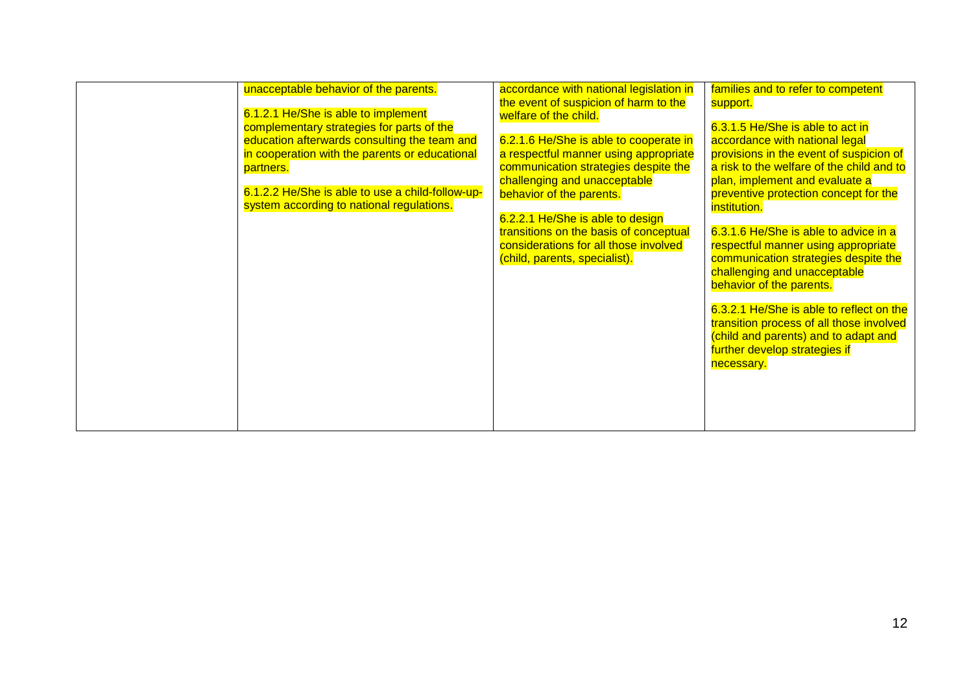| unacceptable behavior of the parents.<br>6.1.2.1 He/She is able to implement<br>complementary strategies for parts of the<br>education afterwards consulting the team and<br>in cooperation with the parents or educational<br>partners.<br>6.1.2.2 He/She is able to use a child-follow-up-<br>system according to national regulations. | accordance with national legislation in<br>the event of suspicion of harm to the<br>welfare of the child.<br>6.2.1.6 He/She is able to cooperate in<br>a respectful manner using appropriate<br>communication strategies despite the<br>challenging and unacceptable<br>behavior of the parents.<br>6.2.2.1 He/She is able to design<br>transitions on the basis of conceptual<br>considerations for all those involved<br>(child, parents, specialist). | families and to refer to competent<br>support.<br>6.3.1.5 He/She is able to act in<br>accordance with national legal<br>provisions in the event of suspicion of<br>a risk to the welfare of the child and to<br>plan, implement and evaluate a<br>preventive protection concept for the<br>institution.<br>6.3.1.6 He/She is able to advice in a<br>respectful manner using appropriate<br>communication strategies despite the<br>challenging and unacceptable<br>behavior of the parents.<br>6.3.2.1 He/She is able to reflect on the<br>transition process of all those involved<br>(child and parents) and to adapt and<br>further develop strategies if<br>necessary. |
|-------------------------------------------------------------------------------------------------------------------------------------------------------------------------------------------------------------------------------------------------------------------------------------------------------------------------------------------|----------------------------------------------------------------------------------------------------------------------------------------------------------------------------------------------------------------------------------------------------------------------------------------------------------------------------------------------------------------------------------------------------------------------------------------------------------|----------------------------------------------------------------------------------------------------------------------------------------------------------------------------------------------------------------------------------------------------------------------------------------------------------------------------------------------------------------------------------------------------------------------------------------------------------------------------------------------------------------------------------------------------------------------------------------------------------------------------------------------------------------------------|
|-------------------------------------------------------------------------------------------------------------------------------------------------------------------------------------------------------------------------------------------------------------------------------------------------------------------------------------------|----------------------------------------------------------------------------------------------------------------------------------------------------------------------------------------------------------------------------------------------------------------------------------------------------------------------------------------------------------------------------------------------------------------------------------------------------------|----------------------------------------------------------------------------------------------------------------------------------------------------------------------------------------------------------------------------------------------------------------------------------------------------------------------------------------------------------------------------------------------------------------------------------------------------------------------------------------------------------------------------------------------------------------------------------------------------------------------------------------------------------------------------|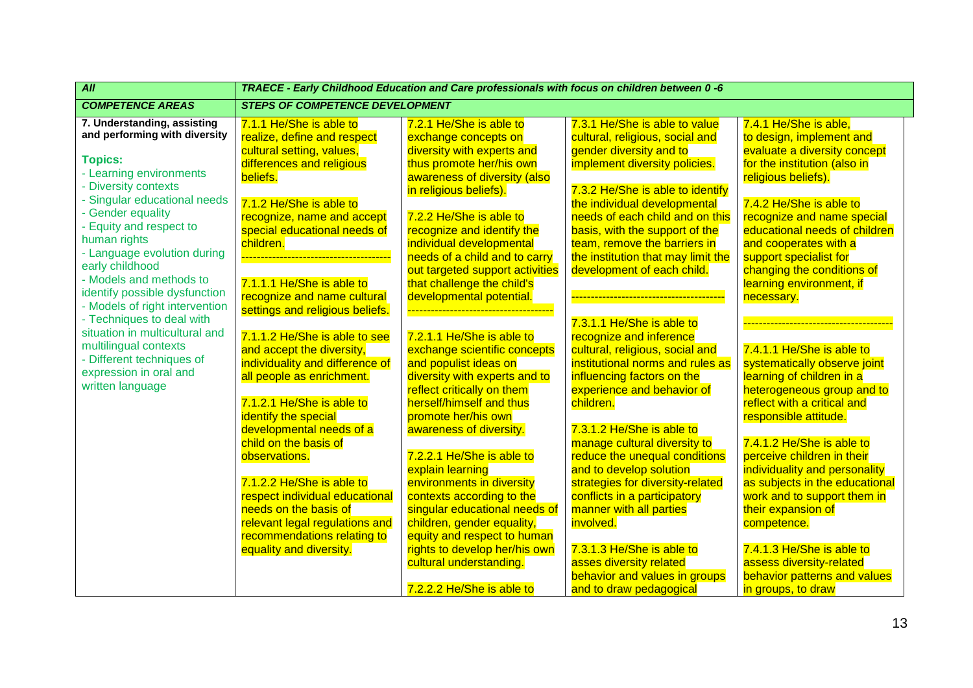| $\overline{All}$                                                                                                                                                                                                                                                                                                                                                                                                                                                                                                                                     | TRAECE - Early Childhood Education and Care professionals with focus on children between 0 -6                                                                                                                                                                                                                                                                                                                                                                                                                                                                             |                                                                                                                                                                                                                                                                                                                                                                                                                                                                                                                                                                                                                           |                                                                                                                                                                                                                                                                                                                                                                                                                                                                                                                                                                                                                                                |                                                                                                                                                                                                                                                                                                                                                                                                                                                                                                                                                                            |  |  |
|------------------------------------------------------------------------------------------------------------------------------------------------------------------------------------------------------------------------------------------------------------------------------------------------------------------------------------------------------------------------------------------------------------------------------------------------------------------------------------------------------------------------------------------------------|---------------------------------------------------------------------------------------------------------------------------------------------------------------------------------------------------------------------------------------------------------------------------------------------------------------------------------------------------------------------------------------------------------------------------------------------------------------------------------------------------------------------------------------------------------------------------|---------------------------------------------------------------------------------------------------------------------------------------------------------------------------------------------------------------------------------------------------------------------------------------------------------------------------------------------------------------------------------------------------------------------------------------------------------------------------------------------------------------------------------------------------------------------------------------------------------------------------|------------------------------------------------------------------------------------------------------------------------------------------------------------------------------------------------------------------------------------------------------------------------------------------------------------------------------------------------------------------------------------------------------------------------------------------------------------------------------------------------------------------------------------------------------------------------------------------------------------------------------------------------|----------------------------------------------------------------------------------------------------------------------------------------------------------------------------------------------------------------------------------------------------------------------------------------------------------------------------------------------------------------------------------------------------------------------------------------------------------------------------------------------------------------------------------------------------------------------------|--|--|
| <b>COMPETENCE AREAS</b>                                                                                                                                                                                                                                                                                                                                                                                                                                                                                                                              | <b>STEPS OF COMPETENCE DEVELOPMENT</b>                                                                                                                                                                                                                                                                                                                                                                                                                                                                                                                                    |                                                                                                                                                                                                                                                                                                                                                                                                                                                                                                                                                                                                                           |                                                                                                                                                                                                                                                                                                                                                                                                                                                                                                                                                                                                                                                |                                                                                                                                                                                                                                                                                                                                                                                                                                                                                                                                                                            |  |  |
| 7. Understanding, assisting<br>and performing with diversity<br><b>Topics:</b><br>- Learning environments<br>- Diversity contexts<br>- Singular educational needs<br>- Gender equality<br>- Equity and respect to<br>human rights<br>- Language evolution during<br>early childhood<br>- Models and methods to<br>identify possible dysfunction<br>- Models of right intervention<br>- Techniques to deal with<br>situation in multicultural and<br>multilingual contexts<br>- Different techniques of<br>expression in oral and<br>written language | 7.1.1 He/She is able to<br>realize, define and respect<br>cultural setting, values,<br>differences and religious<br>beliefs.<br>7.1.2 He/She is able to<br>recognize, name and accept<br>special educational needs of<br>children.<br>7.1.1.1 He/She is able to<br>recognize and name cultural<br>settings and religious beliefs.<br>7.1.1.2 He/She is able to see<br>and accept the diversity,<br>individuality and difference of<br>all people as enrichment.<br>7.1.2.1 He/She is able to<br>identify the special<br>developmental needs of a<br>child on the basis of | 7.2.1 He/She is able to<br>exchange concepts on<br>diversity with experts and<br>thus promote her/his own<br>awareness of diversity (also<br>in religious beliefs).<br>7.2.2 He/She is able to<br>recognize and identify the<br>individual developmental<br>needs of a child and to carry<br>out targeted support activities<br>that challenge the child's<br>developmental potential.<br>7.2.1.1 He/She is able to<br>exchange scientific concepts<br>and populist ideas on<br>diversity with experts and to<br>reflect critically on them<br>herself/himself and thus<br>promote her/his own<br>awareness of diversity. | 7.3.1 He/She is able to value<br>cultural, religious, social and<br>gender diversity and to<br>implement diversity policies.<br>7.3.2 He/She is able to identify<br>the individual developmental<br>needs of each child and on this<br>basis, with the support of the<br>team, remove the barriers in<br>the institution that may limit the<br>development of each child.<br>7.3.1.1 He/She is able to<br>recognize and inference<br>cultural, religious, social and<br>institutional norms and rules as<br>influencing factors on the<br>experience and behavior of<br>children.<br>7.3.1.2 He/She is able to<br>manage cultural diversity to | 7.4.1 He/She is able.<br>to design, implement and<br>evaluate a diversity concept<br>for the institution (also in<br>religious beliefs).<br>7.4.2 He/She is able to<br>recognize and name special<br>educational needs of children<br>and cooperates with a<br>support specialist for<br>changing the conditions of<br>learning environment, if<br>necessary.<br>7.4.1.1 He/She is able to<br>systematically observe joint<br>learning of children in a<br>heterogeneous group and to<br>reflect with a critical and<br>responsible attitude.<br>7.4.1.2 He/She is able to |  |  |
|                                                                                                                                                                                                                                                                                                                                                                                                                                                                                                                                                      | observations.<br>7.1.2.2 He/She is able to<br>respect individual educational<br>needs on the basis of<br>relevant legal regulations and<br>recommendations relating to                                                                                                                                                                                                                                                                                                                                                                                                    | 7.2.2.1 He/She is able to<br>explain learning<br>environments in diversity<br>contexts according to the<br>singular educational needs of<br>children, gender equality,<br>equity and respect to human                                                                                                                                                                                                                                                                                                                                                                                                                     | reduce the unequal conditions<br>and to develop solution<br>strategies for diversity-related<br>conflicts in a participatory<br>manner with all parties<br>involved.                                                                                                                                                                                                                                                                                                                                                                                                                                                                           | perceive children in their<br>individuality and personality<br>as subjects in the educational<br>work and to support them in<br>their expansion of<br>competence.                                                                                                                                                                                                                                                                                                                                                                                                          |  |  |
|                                                                                                                                                                                                                                                                                                                                                                                                                                                                                                                                                      | equality and diversity.                                                                                                                                                                                                                                                                                                                                                                                                                                                                                                                                                   | rights to develop her/his own<br>cultural understanding.<br>7.2.2.2 He/She is able to                                                                                                                                                                                                                                                                                                                                                                                                                                                                                                                                     | 7.3.1.3 He/She is able to<br>asses diversity related<br>behavior and values in groups<br>and to draw pedagogical                                                                                                                                                                                                                                                                                                                                                                                                                                                                                                                               | 7.4.1.3 He/She is able to<br>assess diversity-related<br>behavior patterns and values<br>in groups, to draw                                                                                                                                                                                                                                                                                                                                                                                                                                                                |  |  |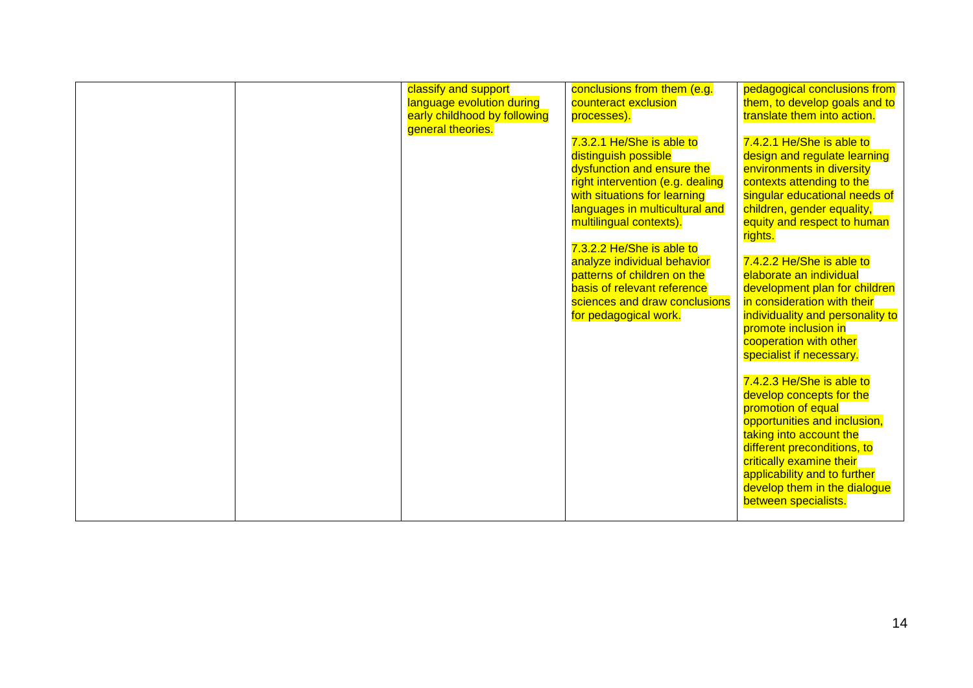| applicability and to further<br>develop them in the dialogue<br>between specialists. |  |  | classify and support<br>language evolution during<br>early childhood by following<br>general theories. | conclusions from them (e.g.<br>counteract exclusion<br>processes).<br>7.3.2.1 He/She is able to<br>distinguish possible<br>dysfunction and ensure the<br>right intervention (e.g. dealing<br>with situations for learning<br>languages in multicultural and<br>multilingual contexts).<br>7.3.2.2 He/She is able to<br>analyze individual behavior<br>patterns of children on the<br>basis of relevant reference<br>sciences and draw conclusions<br>for pedagogical work. | pedagogical conclusions from<br>them, to develop goals and to<br>translate them into action.<br>7.4.2.1 He/She is able to<br>design and regulate learning<br>environments in diversity<br>contexts attending to the<br>singular educational needs of<br>children, gender equality,<br>equity and respect to human<br>rights.<br>7.4.2.2 He/She is able to<br>elaborate an individual<br>development plan for children<br>in consideration with their<br>individuality and personality to<br>promote inclusion in<br>cooperation with other<br>specialist if necessary.<br>7.4.2.3 He/She is able to<br>develop concepts for the<br>promotion of equal<br>opportunities and inclusion,<br>taking into account the<br>different preconditions, to<br>critically examine their |
|--------------------------------------------------------------------------------------|--|--|--------------------------------------------------------------------------------------------------------|----------------------------------------------------------------------------------------------------------------------------------------------------------------------------------------------------------------------------------------------------------------------------------------------------------------------------------------------------------------------------------------------------------------------------------------------------------------------------|-----------------------------------------------------------------------------------------------------------------------------------------------------------------------------------------------------------------------------------------------------------------------------------------------------------------------------------------------------------------------------------------------------------------------------------------------------------------------------------------------------------------------------------------------------------------------------------------------------------------------------------------------------------------------------------------------------------------------------------------------------------------------------|
|--------------------------------------------------------------------------------------|--|--|--------------------------------------------------------------------------------------------------------|----------------------------------------------------------------------------------------------------------------------------------------------------------------------------------------------------------------------------------------------------------------------------------------------------------------------------------------------------------------------------------------------------------------------------------------------------------------------------|-----------------------------------------------------------------------------------------------------------------------------------------------------------------------------------------------------------------------------------------------------------------------------------------------------------------------------------------------------------------------------------------------------------------------------------------------------------------------------------------------------------------------------------------------------------------------------------------------------------------------------------------------------------------------------------------------------------------------------------------------------------------------------|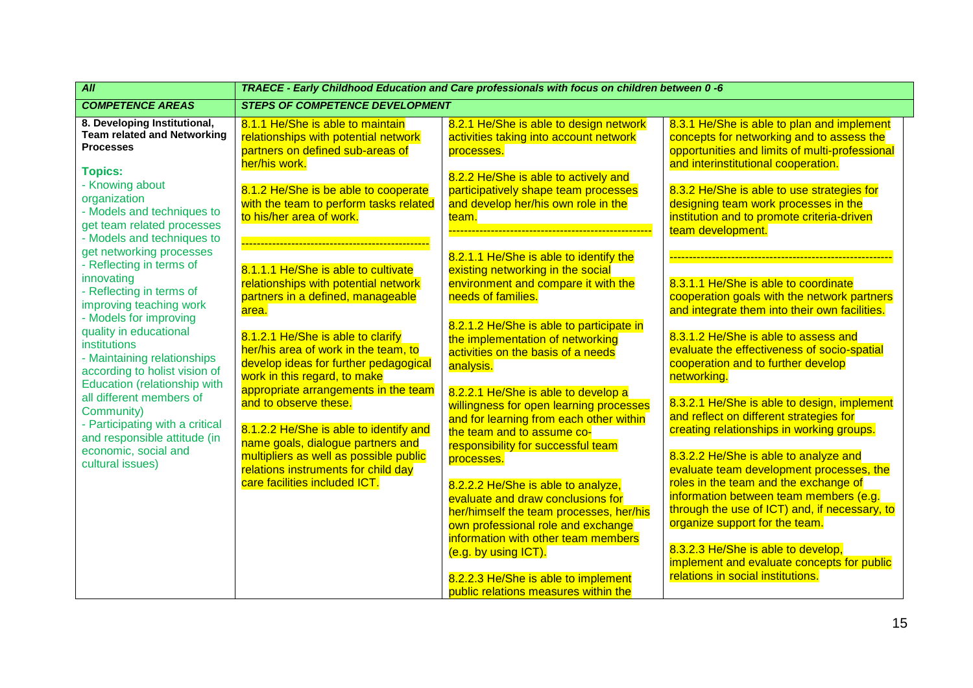| All                                                                                                                                                                                                                                                                                                                                                                                                                                                           | TRAECE - Early Childhood Education and Care professionals with focus on children between 0 -6                                                                                                                                                                                                                                                                                                                                                                                                                                                     |                                                                                                                                                                                                                                                                                                                                                                                                                                                                                                                                                                                                                                                                                                                                                              |                                                                                                                                                                                                                                                                                                                                                                                                                                                                                                                                                                                                                                                                                                                                                                                                             |  |  |
|---------------------------------------------------------------------------------------------------------------------------------------------------------------------------------------------------------------------------------------------------------------------------------------------------------------------------------------------------------------------------------------------------------------------------------------------------------------|---------------------------------------------------------------------------------------------------------------------------------------------------------------------------------------------------------------------------------------------------------------------------------------------------------------------------------------------------------------------------------------------------------------------------------------------------------------------------------------------------------------------------------------------------|--------------------------------------------------------------------------------------------------------------------------------------------------------------------------------------------------------------------------------------------------------------------------------------------------------------------------------------------------------------------------------------------------------------------------------------------------------------------------------------------------------------------------------------------------------------------------------------------------------------------------------------------------------------------------------------------------------------------------------------------------------------|-------------------------------------------------------------------------------------------------------------------------------------------------------------------------------------------------------------------------------------------------------------------------------------------------------------------------------------------------------------------------------------------------------------------------------------------------------------------------------------------------------------------------------------------------------------------------------------------------------------------------------------------------------------------------------------------------------------------------------------------------------------------------------------------------------------|--|--|
| <b>COMPETENCE AREAS</b>                                                                                                                                                                                                                                                                                                                                                                                                                                       | <b>STEPS OF COMPETENCE DEVELOPMENT</b>                                                                                                                                                                                                                                                                                                                                                                                                                                                                                                            |                                                                                                                                                                                                                                                                                                                                                                                                                                                                                                                                                                                                                                                                                                                                                              |                                                                                                                                                                                                                                                                                                                                                                                                                                                                                                                                                                                                                                                                                                                                                                                                             |  |  |
| 8. Developing Institutional,<br><b>Team related and Networking</b><br><b>Processes</b><br><b>Topics:</b><br>- Knowing about<br>organization<br>- Models and techniques to<br>get team related processes<br>- Models and techniques to                                                                                                                                                                                                                         | 8.1.1 He/She is able to maintain<br>relationships with potential network<br>partners on defined sub-areas of<br>her/his work.<br>8.1.2 He/She is be able to cooperate<br>with the team to perform tasks related<br>to his/her area of work.                                                                                                                                                                                                                                                                                                       | 8.2.1 He/She is able to design network<br>activities taking into account network<br>processes.<br>8.2.2 He/She is able to actively and<br>participatively shape team processes<br>and develop her/his own role in the<br>team.                                                                                                                                                                                                                                                                                                                                                                                                                                                                                                                               | 8.3.1 He/She is able to plan and implement<br>concepts for networking and to assess the<br>opportunities and limits of multi-professional<br>and interinstitutional cooperation.<br>8.3.2 He/She is able to use strategies for<br>designing team work processes in the<br>institution and to promote criteria-driven<br>team development.                                                                                                                                                                                                                                                                                                                                                                                                                                                                   |  |  |
| get networking processes<br>- Reflecting in terms of<br>innovating<br>- Reflecting in terms of<br>improving teaching work<br>- Models for improving<br>quality in educational<br><b>institutions</b><br>- Maintaining relationships<br>according to holist vision of<br>Education (relationship with<br>all different members of<br>Community)<br>- Participating with a critical<br>and responsible attitude (in<br>economic, social and<br>cultural issues) | 8.1.1.1 He/She is able to cultivate<br>relationships with potential network<br>partners in a defined, manageable<br>area.<br>8.1.2.1 He/She is able to clarify<br>her/his area of work in the team, to<br>develop ideas for further pedagogical<br>work in this regard, to make<br>appropriate arrangements in the team<br>and to observe these.<br>8.1.2.2 He/She is able to identify and<br>name goals, dialogue partners and<br>multipliers as well as possible public<br>relations instruments for child day<br>care facilities included ICT. | 8.2.1.1 He/She is able to identify the<br>existing networking in the social<br>environment and compare it with the<br>needs of families.<br>8.2.1.2 He/She is able to participate in<br>the implementation of networking<br>activities on the basis of a needs<br>analysis.<br>8.2.2.1 He/She is able to develop a<br>willingness for open learning processes<br>and for learning from each other within<br>the team and to assume co-<br>responsibility for successful team<br>processes.<br>8.2.2.2 He/She is able to analyze,<br>evaluate and draw conclusions for<br>her/himself the team processes, her/his<br>own professional role and exchange<br>information with other team members<br>(e.g. by using ICT).<br>8.2.2.3 He/She is able to implement | 8.3.1.1 He/She is able to coordinate<br>cooperation goals with the network partners<br>and integrate them into their own facilities.<br>8.3.1.2 He/She is able to assess and<br>evaluate the effectiveness of socio-spatial<br>cooperation and to further develop<br>networking.<br>8.3.2.1 He/She is able to design, implement<br>and reflect on different strategies for<br>creating relationships in working groups.<br>8.3.2.2 He/She is able to analyze and<br>evaluate team development processes, the<br>roles in the team and the exchange of<br>information between team members (e.g.<br>through the use of ICT) and, if necessary, to<br>organize support for the team.<br>8.3.2.3 He/She is able to develop,<br>implement and evaluate concepts for public<br>relations in social institutions. |  |  |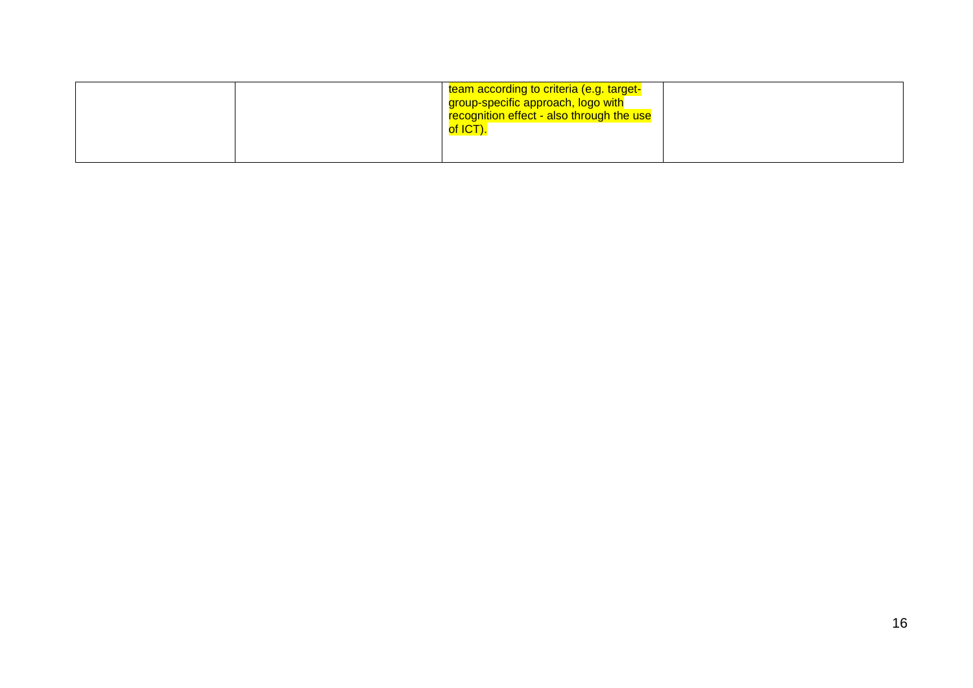|  | team according to criteria (e.g. target-<br>group-specific approach, logo with<br>recognition effect - also through the use<br>of ICT). |  |
|--|-----------------------------------------------------------------------------------------------------------------------------------------|--|
|  |                                                                                                                                         |  |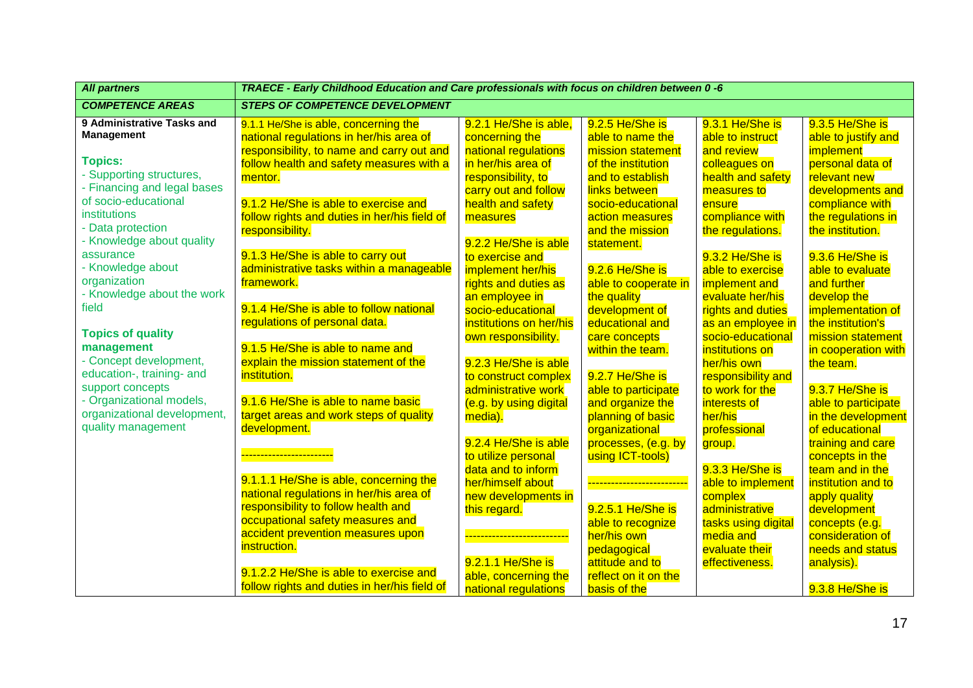| <b>All partners</b>                                                           | TRAECE - Early Childhood Education and Care professionals with focus on children between 0 -6                            |                                                                     |                                                             |                                                           |                                                                           |
|-------------------------------------------------------------------------------|--------------------------------------------------------------------------------------------------------------------------|---------------------------------------------------------------------|-------------------------------------------------------------|-----------------------------------------------------------|---------------------------------------------------------------------------|
| <b>COMPETENCE AREAS</b>                                                       | <b>STEPS OF COMPETENCE DEVELOPMENT</b>                                                                                   |                                                                     |                                                             |                                                           |                                                                           |
| 9 Administrative Tasks and<br><b>Management</b>                               | 9.1.1 He/She is able, concerning the<br>national regulations in her/his area of                                          | 9.2.1 He/She is able,<br>concerning the                             | 9.2.5 He/She is<br>able to name the                         | 9.3.1 He/She is<br>able to instruct                       | 9.3.5 He/She is<br>able to justify and                                    |
| <b>Topics:</b><br>- Supporting structures,                                    | responsibility, to name and carry out and<br>follow health and safety measures with a<br>mentor.                         | national regulations<br>in her/his area of<br>responsibility, to    | mission statement<br>of the institution<br>and to establish | and review<br>colleagues on<br>health and safety          | implement<br>personal data of<br>relevant new                             |
| - Financing and legal bases<br>of socio-educational                           | 9.1.2 He/She is able to exercise and                                                                                     | carry out and follow<br>health and safety                           | links between<br>socio-educational                          | measures to<br>ensure                                     | developments and<br>compliance with                                       |
| institutions<br>- Data protection<br>- Knowledge about quality                | follow rights and duties in her/his field of<br>responsibility.                                                          | measures<br>9.2.2 He/She is able                                    | action measures<br>and the mission<br>statement.            | compliance with<br>the regulations.                       | the regulations in<br>the institution.                                    |
| assurance<br>- Knowledge about<br>organization                                | 9.1.3 He/She is able to carry out<br>administrative tasks within a manageable<br>framework.                              | to exercise and<br>implement her/his<br>rights and duties as        | 9.2.6 He/She is<br>able to cooperate in                     | 9.3.2 He/She is<br>able to exercise<br>implement and      | 9.3.6 He/She is<br>able to evaluate<br>and further                        |
| - Knowledge about the work<br>field                                           | 9.1.4 He/She is able to follow national                                                                                  | an employee in<br>socio-educational                                 | the quality<br>development of                               | evaluate her/his<br>rights and duties                     | develop the<br>implementation of                                          |
| <b>Topics of quality</b><br>management                                        | regulations of personal data.<br>9.1.5 He/She is able to name and                                                        | institutions on her/his<br>own responsibility.                      | educational and<br>care concepts<br>within the team.        | as an employee in<br>socio-educational<br>institutions on | the institution's<br>mission statement<br>in cooperation with             |
| - Concept development,<br>education-, training- and<br>support concepts       | explain the mission statement of the<br>institution.                                                                     | 9.2.3 He/She is able<br>to construct complex<br>administrative work | 9.2.7 He/She is<br>able to participate                      | her/his own<br>responsibility and<br>to work for the      | the team.<br>9.3.7 He/She is                                              |
| - Organizational models,<br>organizational development,<br>quality management | 9.1.6 He/She is able to name basic<br>target areas and work steps of quality<br>development.                             | (e.g. by using digital<br>media).                                   | and organize the<br>planning of basic                       | interests of<br>her/his                                   | able to participate<br>in the development                                 |
|                                                                               | ----------------------                                                                                                   | 9.2.4 He/She is able<br>to utilize personal<br>data and to inform   | organizational<br>processes, (e.g. by<br>using ICT-tools)   | professional<br>group.<br>9.3.3 He/She is                 | of educational<br>training and care<br>concepts in the<br>team and in the |
|                                                                               | 9.1.1.1 He/She is able, concerning the<br>national regulations in her/his area of<br>responsibility to follow health and | her/himself about<br>new developments in<br>this regard.            | -------------------------<br>9.2.5.1 He/She is              | able to implement<br>complex<br>administrative            | institution and to<br>apply quality<br>development                        |
|                                                                               | occupational safety measures and<br>accident prevention measures upon<br>instruction.                                    | ---------------------------                                         | able to recognize<br>her/his own                            | tasks using digital<br>media and                          | concepts (e.g.<br>consideration of                                        |
|                                                                               | 9.1.2.2 He/She is able to exercise and                                                                                   | 9.2.1.1 He/She is<br>able, concerning the                           | pedagogical<br>attitude and to<br>reflect on it on the      | evaluate their<br>effectiveness.                          | needs and status<br>analysis).                                            |
|                                                                               | follow rights and duties in her/his field of                                                                             | national regulations                                                | basis of the                                                |                                                           | 9.3.8 He/She is                                                           |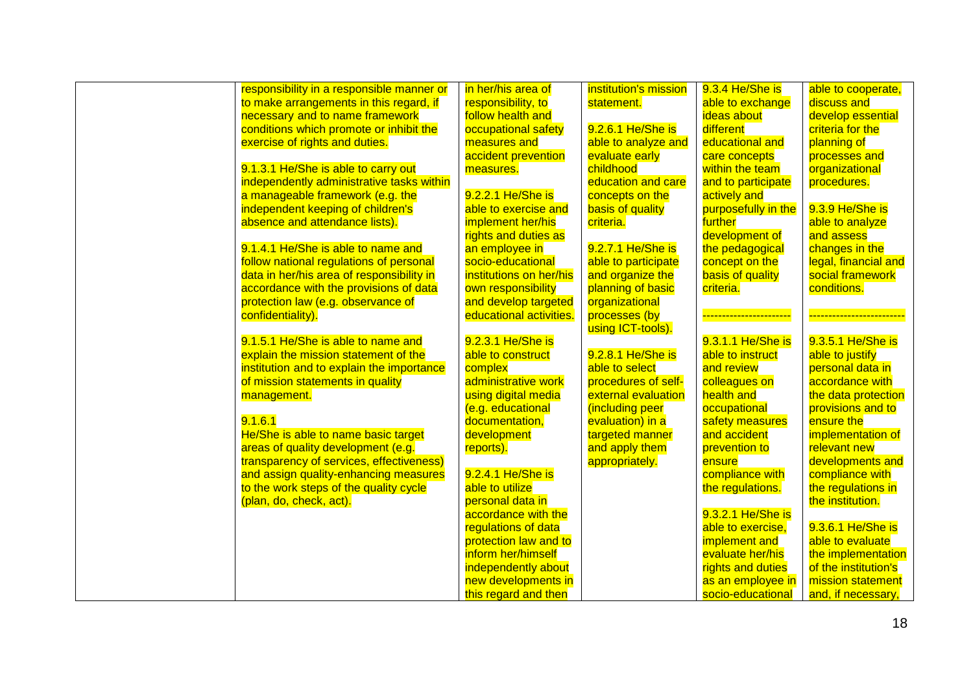| responsibility in a responsible manner or | in her/his area of      | institution's mission | 9.3.4 He/She is     | able to cooperate,                    |
|-------------------------------------------|-------------------------|-----------------------|---------------------|---------------------------------------|
| to make arrangements in this regard, if   | responsibility, to      | statement.            | able to exchange    | discuss and                           |
| necessary and to name framework           | follow health and       |                       | ideas about         | develop essential                     |
| conditions which promote or inhibit the   | occupational safety     | 9.2.6.1 He/She is     | different           | criteria for the                      |
| exercise of rights and duties.            | measures and            | able to analyze and   | educational and     | planning of                           |
|                                           | accident prevention     | evaluate early        | care concepts       | processes and                         |
| 9.1.3.1 He/She is able to carry out       | measures.               | childhood             | within the team     | organizational                        |
| independently administrative tasks within |                         | education and care    | and to participate  | procedures.                           |
|                                           | 9.2.2.1 He/She is       |                       | actively and        |                                       |
| a manageable framework (e.g. the          |                         | concepts on the       |                     |                                       |
| independent keeping of children's         | able to exercise and    | basis of quality      | purposefully in the | 9.3.9 He/She is                       |
| absence and attendance lists).            | implement her/his       | criteria.             | <b>further</b>      | able to analyze                       |
|                                           | rights and duties as    |                       | development of      | and assess                            |
| 9.1.4.1 He/She is able to name and        | an employee in          | 9.2.7.1 He/She is     | the pedagogical     | changes in the                        |
| follow national regulations of personal   | socio-educational       | able to participate   | concept on the      | legal, financial and                  |
| data in her/his area of responsibility in | institutions on her/his | and organize the      | basis of quality    | social framework                      |
| accordance with the provisions of data    | own responsibility      | planning of basic     | criteria.           | conditions.                           |
| protection law (e.g. observance of        | and develop targeted    | organizational        |                     |                                       |
| confidentiality).                         | educational activities. | processes (by         |                     | <mark>----------------------</mark> - |
|                                           |                         | using ICT-tools).     |                     |                                       |
| 9.1.5.1 He/She is able to name and        | 9.2.3.1 He/She is       |                       | 9.3.1.1 He/She is   | 9.3.5.1 He/She is                     |
| explain the mission statement of the      | able to construct       | 9.2.8.1 He/She is     | able to instruct    | able to justify                       |
| institution and to explain the importance | complex                 | able to select        | and review          | personal data in                      |
| of mission statements in quality          | administrative work     | procedures of self-   | colleagues on       | accordance with                       |
| management.                               | using digital media     | external evaluation   | health and          | the data protection                   |
|                                           | (e.g. educational       | (including peer       | occupational        | provisions and to                     |
| 9.1.6.1                                   | documentation,          | evaluation) in a      | safety measures     | ensure the                            |
| He/She is able to name basic target       | development             | targeted manner       | and accident        | implementation of                     |
| areas of quality development (e.g.        | reports).               | and apply them        | prevention to       | relevant new                          |
| transparency of services, effectiveness)  |                         | appropriately.        | ensure              | developments and                      |
| and assign quality-enhancing measures     | 9.2.4.1 He/She is       |                       | compliance with     | compliance with                       |
| to the work steps of the quality cycle    | able to utilize         |                       | the regulations.    | the regulations in                    |
| (plan, do, check, act).                   | personal data in        |                       |                     | the institution.                      |
|                                           | accordance with the     |                       | 9.3.2.1 He/She is   |                                       |
|                                           | regulations of data     |                       | able to exercise,   | 9.3.6.1 He/She is                     |
|                                           | protection law and to   |                       | implement and       | able to evaluate                      |
|                                           | inform her/himself      |                       | evaluate her/his    | the implementation                    |
|                                           | independently about     |                       | rights and duties   | of the institution's                  |
|                                           | new developments in     |                       | as an employee in   | mission statement                     |
|                                           |                         |                       |                     | and, if necessary,                    |
|                                           | this regard and then    |                       | socio-educational   |                                       |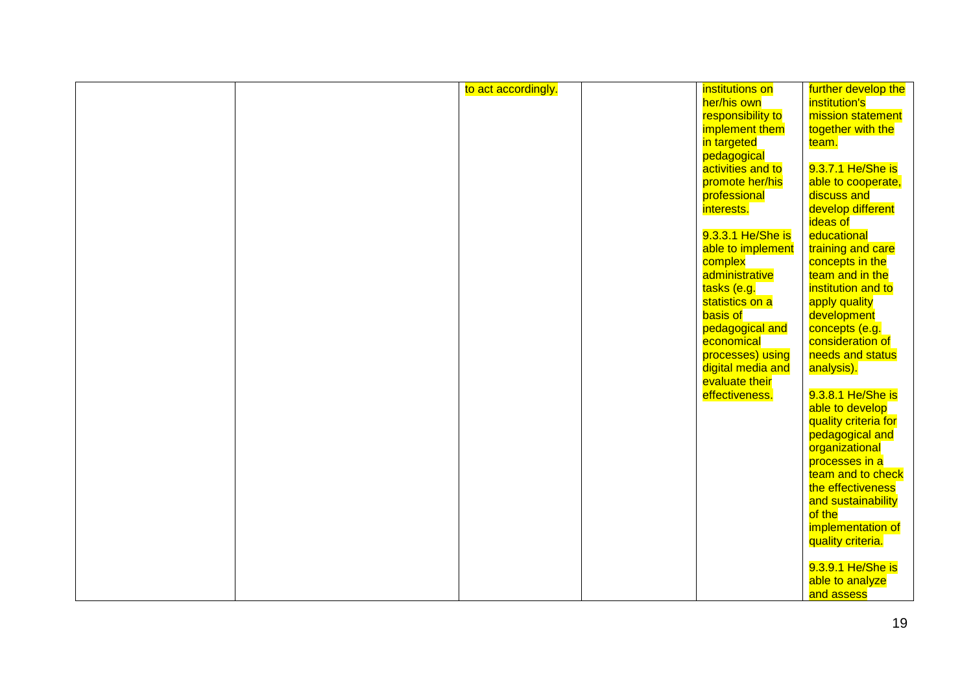|  | to act accordingly. | institutions on   | further develop the  |
|--|---------------------|-------------------|----------------------|
|  |                     | her/his own       | institution's        |
|  |                     |                   | mission statement    |
|  |                     | responsibility to |                      |
|  |                     | implement them    | together with the    |
|  |                     | in targeted       | team.                |
|  |                     | pedagogical       |                      |
|  |                     | activities and to | 9.3.7.1 He/She is    |
|  |                     | promote her/his   | able to cooperate,   |
|  |                     | professional      | discuss and          |
|  |                     | interests.        | develop different    |
|  |                     |                   | ideas of             |
|  |                     | 9.3.3.1 He/She is | educational          |
|  |                     | able to implement | training and care    |
|  |                     | complex           | concepts in the      |
|  |                     | administrative    | team and in the      |
|  |                     | tasks (e.g.       | institution and to   |
|  |                     | statistics on a   | apply quality        |
|  |                     | <b>basis</b> of   | development          |
|  |                     | pedagogical and   | concepts (e.g.       |
|  |                     | economical        | consideration of     |
|  |                     | processes) using  | needs and status     |
|  |                     | digital media and | analysis).           |
|  |                     | evaluate their    |                      |
|  |                     | effectiveness.    | 9.3.8.1 He/She is    |
|  |                     |                   | able to develop      |
|  |                     |                   | quality criteria for |
|  |                     |                   | pedagogical and      |
|  |                     |                   | organizational       |
|  |                     |                   | processes in a       |
|  |                     |                   | team and to check    |
|  |                     |                   | the effectiveness    |
|  |                     |                   | and sustainability   |
|  |                     |                   | of the               |
|  |                     |                   | implementation of    |
|  |                     |                   | quality criteria.    |
|  |                     |                   |                      |
|  |                     |                   | 9.3.9.1 He/She is    |
|  |                     |                   | able to analyze      |
|  |                     |                   | and assess           |
|  |                     |                   |                      |